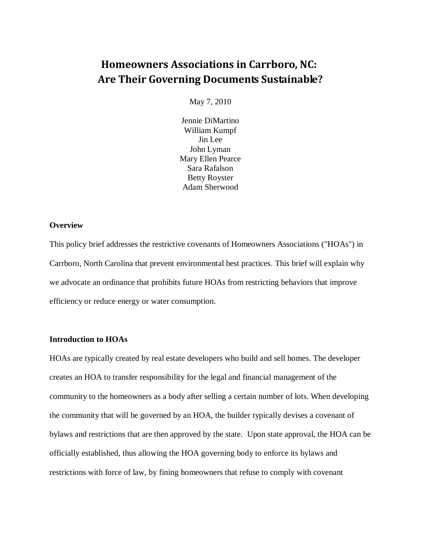# **Homeowners Associations in Carrboro, NC: Are Their Governing Documents Sustainable?**

May 7, 2010

Jennie DiMartino William Kumpf Jin Lee John Lyman Mary Ellen Pearce Sara Rafalson Betty Royster Adam Sherwood

#### **Overview**

This policy brief addresses the restrictive covenants of Homeowners Associations ("HOAs") in Carrboro, North Carolina that prevent environmental best practices. This brief will explain why we advocate an ordinance that prohibits future HOAs from restricting behaviors that improve efficiency or reduce energy or water consumption.

#### **Introduction to HOAs**

HOAs are typically created by real estate developers who build and sell homes. The developer creates an HOA to transfer responsibility for the legal and financial management of the community to the homeowners as a body after selling a certain number of lots. When developing the community that will be governed by an HOA, the builder typically devises a covenant of bylaws and restrictions that are then approved by the state. Upon state approval, the HOA can be officially established, thus allowing the HOA governing body to enforce its bylaws and restrictions with force of law, by fining homeowners that refuse to comply with covenant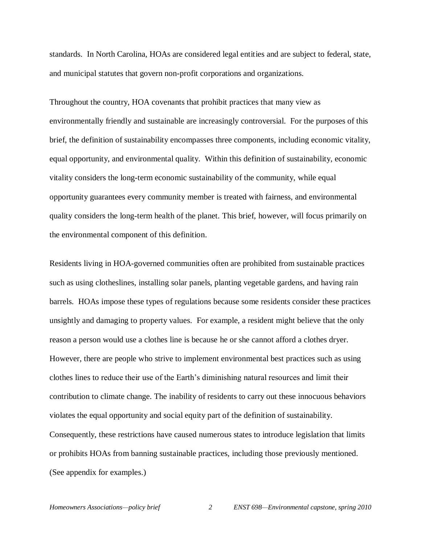standards. In North Carolina, HOAs are considered legal entities and are subject to federal, state, and municipal statutes that govern non-profit corporations and organizations.

Throughout the country, HOA covenants that prohibit practices that many view as environmentally friendly and sustainable are increasingly controversial. For the purposes of this brief, the definition of sustainability encompasses three components, including economic vitality, equal opportunity, and environmental quality. Within this definition of sustainability, economic vitality considers the long-term economic sustainability of the community, while equal opportunity guarantees every community member is treated with fairness, and environmental quality considers the long-term health of the planet. This brief, however, will focus primarily on the environmental component of this definition.

Residents living in HOA-governed communities often are prohibited from sustainable practices such as using clotheslines, installing solar panels, planting vegetable gardens, and having rain barrels. HOAs impose these types of regulations because some residents consider these practices unsightly and damaging to property values. For example, a resident might believe that the only reason a person would use a clothes line is because he or she cannot afford a clothes dryer. However, there are people who strive to implement environmental best practices such as using clothes lines to reduce their use of the Earth's diminishing natural resources and limit their contribution to climate change. The inability of residents to carry out these innocuous behaviors violates the equal opportunity and social equity part of the definition of sustainability. Consequently, these restrictions have caused numerous states to introduce legislation that limits or prohibits HOAs from banning sustainable practices, including those previously mentioned. (See appendix for examples.)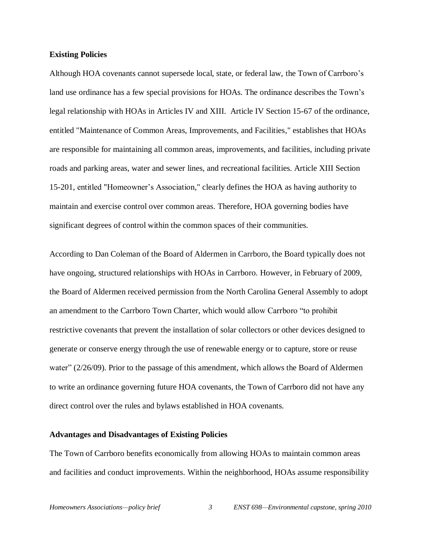#### **Existing Policies**

Although HOA covenants cannot supersede local, state, or federal law, the Town of Carrboro's land use ordinance has a few special provisions for HOAs. The ordinance describes the Town's legal relationship with HOAs in Articles IV and XIII. Article IV Section 15-67 of the ordinance, entitled "Maintenance of Common Areas, Improvements, and Facilities," establishes that HOAs are responsible for maintaining all common areas, improvements, and facilities, including private roads and parking areas, water and sewer lines, and recreational facilities. Article XIII Section 15-201, entitled "Homeowner's Association," clearly defines the HOA as having authority to maintain and exercise control over common areas. Therefore, HOA governing bodies have significant degrees of control within the common spaces of their communities.

According to Dan Coleman of the Board of Aldermen in Carrboro, the Board typically does not have ongoing, structured relationships with HOAs in Carrboro. However, in February of 2009, the Board of Aldermen received permission from the North Carolina General Assembly to adopt an amendment to the Carrboro Town Charter, which would allow Carrboro "to prohibit restrictive covenants that prevent the installation of solar collectors or other devices designed to generate or conserve energy through the use of renewable energy or to capture, store or reuse water" (2/26/09). Prior to the passage of this amendment, which allows the Board of Aldermen to write an ordinance governing future HOA covenants, the Town of Carrboro did not have any direct control over the rules and bylaws established in HOA covenants.

#### **Advantages and Disadvantages of Existing Policies**

The Town of Carrboro benefits economically from allowing HOAs to maintain common areas and facilities and conduct improvements. Within the neighborhood, HOAs assume responsibility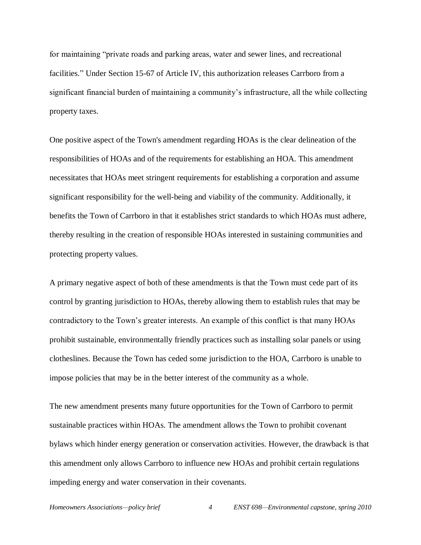for maintaining "private roads and parking areas, water and sewer lines, and recreational facilities." Under Section 15-67 of Article IV, this authorization releases Carrboro from a significant financial burden of maintaining a community's infrastructure, all the while collecting property taxes.

One positive aspect of the Town's amendment regarding HOAs is the clear delineation of the responsibilities of HOAs and of the requirements for establishing an HOA. This amendment necessitates that HOAs meet stringent requirements for establishing a corporation and assume significant responsibility for the well-being and viability of the community. Additionally, it benefits the Town of Carrboro in that it establishes strict standards to which HOAs must adhere, thereby resulting in the creation of responsible HOAs interested in sustaining communities and protecting property values.

A primary negative aspect of both of these amendments is that the Town must cede part of its control by granting jurisdiction to HOAs, thereby allowing them to establish rules that may be contradictory to the Town's greater interests. An example of this conflict is that many HOAs prohibit sustainable, environmentally friendly practices such as installing solar panels or using clotheslines. Because the Town has ceded some jurisdiction to the HOA, Carrboro is unable to impose policies that may be in the better interest of the community as a whole.

The new amendment presents many future opportunities for the Town of Carrboro to permit sustainable practices within HOAs. The amendment allows the Town to prohibit covenant bylaws which hinder energy generation or conservation activities. However, the drawback is that this amendment only allows Carrboro to influence new HOAs and prohibit certain regulations impeding energy and water conservation in their covenants.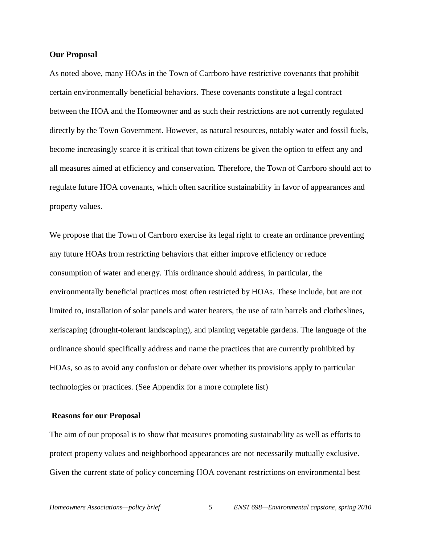#### **Our Proposal**

As noted above, many HOAs in the Town of Carrboro have restrictive covenants that prohibit certain environmentally beneficial behaviors. These covenants constitute a legal contract between the HOA and the Homeowner and as such their restrictions are not currently regulated directly by the Town Government. However, as natural resources, notably water and fossil fuels, become increasingly scarce it is critical that town citizens be given the option to effect any and all measures aimed at efficiency and conservation. Therefore, the Town of Carrboro should act to regulate future HOA covenants, which often sacrifice sustainability in favor of appearances and property values.

We propose that the Town of Carrboro exercise its legal right to create an ordinance preventing any future HOAs from restricting behaviors that either improve efficiency or reduce consumption of water and energy. This ordinance should address, in particular, the environmentally beneficial practices most often restricted by HOAs. These include, but are not limited to, installation of solar panels and water heaters, the use of rain barrels and clotheslines, xeriscaping (drought-tolerant landscaping), and planting vegetable gardens. The language of the ordinance should specifically address and name the practices that are currently prohibited by HOAs, so as to avoid any confusion or debate over whether its provisions apply to particular technologies or practices. (See Appendix for a more complete list)

#### **Reasons for our Proposal**

The aim of our proposal is to show that measures promoting sustainability as well as efforts to protect property values and neighborhood appearances are not necessarily mutually exclusive. Given the current state of policy concerning HOA covenant restrictions on environmental best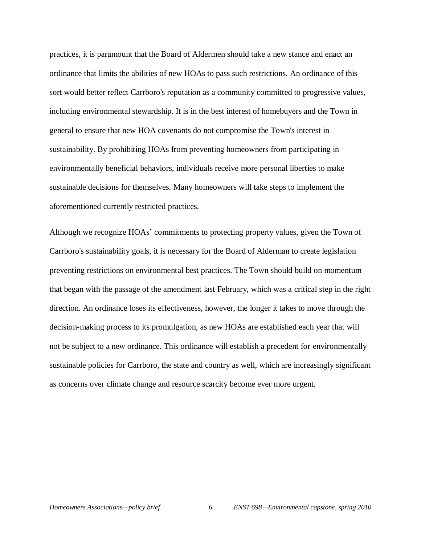practices, it is paramount that the Board of Aldermen should take a new stance and enact an ordinance that limits the abilities of new HOAs to pass such restrictions. An ordinance of this sort would better reflect Carrboro's reputation as a community committed to progressive values, including environmental stewardship. It is in the best interest of homebuyers and the Town in general to ensure that new HOA covenants do not compromise the Town's interest in sustainability. By prohibiting HOAs from preventing homeowners from participating in environmentally beneficial behaviors, individuals receive more personal liberties to make sustainable decisions for themselves. Many homeowners will take steps to implement the aforementioned currently restricted practices.

Although we recognize HOAs' commitments to protecting property values, given the Town of Carrboro's sustainability goals, it is necessary for the Board of Alderman to create legislation preventing restrictions on environmental best practices. The Town should build on momentum that began with the passage of the amendment last February, which was a critical step in the right direction. An ordinance loses its effectiveness, however, the longer it takes to move through the decision-making process to its promulgation, as new HOAs are established each year that will not be subject to a new ordinance. This ordinance will establish a precedent for environmentally sustainable policies for Carrboro, the state and country as well, which are increasingly significant as concerns over climate change and resource scarcity become ever more urgent.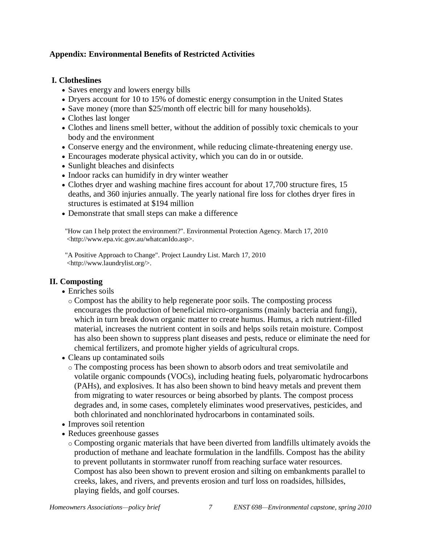# **Appendix: Environmental Benefits of Restricted Activities**

### **I. Clotheslines**

- Saves energy and lowers energy bills
- Dryers account for 10 to 15% of domestic energy consumption in the United States
- Save money (more than \$25/month off electric bill for many households).
- Clothes last longer
- Clothes and linens smell better, without the addition of possibly toxic chemicals to your body and the environment
- Conserve energy and the environment, while reducing climate-threatening energy use.
- Encourages moderate physical activity, which you can do in or outside.
- Sunlight bleaches and disinfects
- Indoor racks can humidify in dry winter weather
- Clothes dryer and washing machine fires account for about 17,700 structure fires, 15 deaths, and 360 injuries annually. The yearly national fire loss for clothes dryer fires in structures is estimated at \$194 million
- Demonstrate that small steps can make a difference

"How can I help protect the environment?". Environmental Protection Agency. March 17, 2010 <http://www.epa.vic.gov.au/whatcanIdo.asp>.

"A Positive Approach to Change". Project Laundry List. March 17, 2010 <http://www.laundrylist.org/>.

# **II. Composting**

- Enriches soils
	- o Compost has the ability to help regenerate poor soils. The composting process encourages the production of beneficial micro-organisms (mainly bacteria and fungi), which in turn break down organic matter to create humus. Humus, a rich nutrient-filled material, increases the nutrient content in soils and helps soils retain moisture. Compost has also been shown to suppress plant diseases and pests, reduce or eliminate the need for chemical fertilizers, and promote higher yields of agricultural crops.
- Cleans up contaminated soils
	- o The composting process has been shown to absorb odors and treat semivolatile and volatile organic compounds (VOCs), including heating fuels, polyaromatic hydrocarbons (PAHs), and explosives. It has also been shown to bind heavy metals and prevent them from migrating to water resources or being absorbed by plants. The compost process degrades and, in some cases, completely eliminates wood preservatives, pesticides, and both chlorinated and nonchlorinated hydrocarbons in contaminated soils.
- Improves soil retention
- Reduces greenhouse gasses
	- o Composting organic materials that have been diverted from landfills ultimately avoids the production of methane and leachate formulation in the landfills. Compost has the ability to prevent pollutants in stormwater runoff from reaching surface water resources. Compost has also been shown to prevent erosion and silting on embankments parallel to creeks, lakes, and rivers, and prevents erosion and turf loss on roadsides, hillsides, playing fields, and golf courses.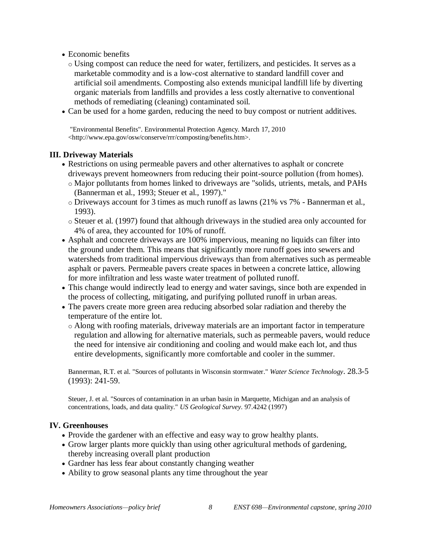- Economic benefits
	- o Using compost can reduce the need for water, fertilizers, and pesticides. It serves as a marketable commodity and is a low-cost alternative to standard landfill cover and artificial soil amendments. Composting also extends municipal landfill life by diverting organic materials from landfills and provides a less costly alternative to conventional methods of remediating (cleaning) contaminated soil.
- Can be used for a home garden, reducing the need to buy compost or nutrient additives.

"Environmental Benefits". Environmental Protection Agency. March 17, 2010 <http://www.epa.gov/osw/conserve/rrr/composting/benefits.htm>.

# **III. Driveway Materials**

- Restrictions on using permeable pavers and other alternatives to asphalt or concrete driveways prevent homeowners from reducing their point-source pollution (from homes).
	- o Major pollutants from homes linked to driveways are "solids, utrients, metals, and PAHs (Bannerman et al., 1993; Steuer et al., 1997)."
	- o Driveways account for 3 times as much runoff as lawns (21% vs 7% Bannerman et al., 1993).
	- o Steuer et al. (1997) found that although driveways in the studied area only accounted for 4% of area, they accounted for 10% of runoff.
- Asphalt and concrete driveways are 100% impervious, meaning no liquids can filter into the ground under them. This means that significantly more runoff goes into sewers and watersheds from traditional impervious driveways than from alternatives such as permeable asphalt or pavers. Permeable pavers create spaces in between a concrete lattice, allowing for more infiltration and less waste water treatment of polluted runoff.
- This change would indirectly lead to energy and water savings, since both are expended in the process of collecting, mitigating, and purifying polluted runoff in urban areas.
- The pavers create more green area reducing absorbed solar radiation and thereby the temperature of the entire lot.
	- o Along with roofing materials, driveway materials are an important factor in temperature regulation and allowing for alternative materials, such as permeable pavers, would reduce the need for intensive air conditioning and cooling and would make each lot, and thus entire developments, significantly more comfortable and cooler in the summer.

Bannerman, R.T. et al. "Sources of pollutants in Wisconsin stormwater." *Water Science Technology*. 28.3-5 (1993): 241-59.

Steuer, J. et al. "Sources of contamination in an urban basin in Marquette, Michigan and an analysis of concentrations, loads, and data quality." *US Geological Survey*. 97.4242 (1997)

#### **IV. Greenhouses**

- Provide the gardener with an effective and easy way to grow healthy plants.
- Grow larger plants more quickly than using other agricultural methods of gardening, thereby increasing overall plant production
- Gardner has less fear about constantly changing weather
- Ability to grow seasonal plants any time throughout the year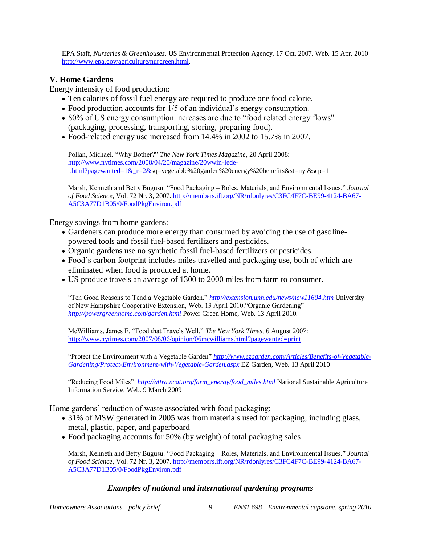EPA Staff, *Nurseries & Greenhouses.* US Environmental Protection Agency, 17 Oct. 2007. Web. 15 Apr. 2010 [http://www.epa.gov/agriculture/nurgreen.html.](http://www.epa.gov/agriculture/nurgreen.html)

### **V. Home Gardens**

Energy intensity of food production:

- Ten calories of fossil fuel energy are required to produce one food calorie.
- Food production accounts for 1/5 of an individual's energy consumption.
- 80% of US energy consumption increases are due to "food related energy flows" (packaging, processing, transporting, storing, preparing food).
- Food-related energy use increased from 14.4% in 2002 to 15.7% in 2007.

Pollan, Michael. "Why Bother?" *The New York Times Magazine*, 20 April 2008: [http://www.nytimes.com/2008/04/20/magazine/20wwln-lede](http://www.nytimes.com/2008/04/20/magazine/20wwln-lede-t.html?pagewanted=1&_r=2&)[t.html?pagewanted=1&\\_r=2&s](http://www.nytimes.com/2008/04/20/magazine/20wwln-lede-t.html?pagewanted=1&_r=2&)q=vegetable%20garden%20energy%20benefits&st=nyt&scp=1

Marsh, Kenneth and Betty Bugusu. "Food Packaging – Roles, Materials, and Environmental Issues." *Journal of Food Science*, Vol. 72 Nr. 3, 2007[. http://members.ift.org/NR/rdonlyres/C3FC4F7C-BE99-4124-BA67-](http://members.ift.org/NR/rdonlyres/C3FC4F7C-BE99-4124-BA67-A5C3A77D1B05/0/FoodPkgEnviron.pdf) [A5C3A77D1B05/0/FoodPkgEnviron.pdf](http://members.ift.org/NR/rdonlyres/C3FC4F7C-BE99-4124-BA67-A5C3A77D1B05/0/FoodPkgEnviron.pdf)

Energy savings from home gardens:

- Gardeners can produce more energy than consumed by avoiding the use of gasolinepowered tools and fossil fuel-based fertilizers and pesticides.
- Organic gardens use no synthetic fossil fuel-based fertilizers or pesticides.
- Food's carbon footprint includes miles travelled and packaging use, both of which are eliminated when food is produced at home.
- US produce travels an average of 1300 to 2000 miles from farm to consumer.

"Ten Good Reasons to Tend a Vegetable Garden." *<http://extension.unh.edu/news/new11604.htm>* University of New Hampshire Cooperative Extension, Web. 13 April 2010."Organic Gardening" *<http://powergreenhome.com/garden.html>* Power Green Home, Web. 13 April 2010.

McWilliams, James E. "Food that Travels Well." *The New York Times*, 6 August 2007: <http://www.nytimes.com/2007/08/06/opinion/06mcwilliams.html?pagewanted=print>

"Protect the Environment with a Vegetable Garden" *[http://www.ezgarden.com/Articles/Benefits-of-Vegetable-](http://www.ezgarden.com/Articles/Benefits-of-Vegetable-Gardening/Protect-Environment-with-Vegetable-Garden.aspx)[Gardening/Protect-Environment-with-Vegetable-Garden.aspx](http://www.ezgarden.com/Articles/Benefits-of-Vegetable-Gardening/Protect-Environment-with-Vegetable-Garden.aspx)* EZ Garden, Web. 13 April 2010

"Reducing Food Miles" *[http://attra.ncat.org/farm\\_energy/food\\_miles.html](http://attra.ncat.org/farm_energy/food_miles.html)* National Sustainable Agriculture Information Service, Web. 9 March 2009

Home gardens' reduction of waste associated with food packaging:

- 31% of MSW generated in 2005 was from materials used for packaging, including glass, metal, plastic, paper, and paperboard
- Food packaging accounts for 50% (by weight) of total packaging sales

Marsh, Kenneth and Betty Bugusu. "Food Packaging – Roles, Materials, and Environmental Issues." *Journal of Food Science*, Vol. 72 Nr. 3, 2007[. http://members.ift.org/NR/rdonlyres/C3FC4F7C-BE99-4124-BA67-](http://members.ift.org/NR/rdonlyres/C3FC4F7C-BE99-4124-BA67-A5C3A77D1B05/0/FoodPkgEnviron.pdf) [A5C3A77D1B05/0/FoodPkgEnviron.pdf](http://members.ift.org/NR/rdonlyres/C3FC4F7C-BE99-4124-BA67-A5C3A77D1B05/0/FoodPkgEnviron.pdf)

#### *Examples of national and international gardening programs*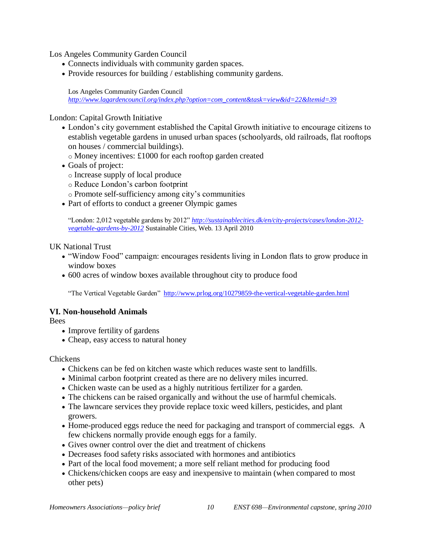Los Angeles Community Garden Council

- Connects individuals with community garden spaces.
- Provide resources for building / establishing community gardens.

Los Angeles Community Garden Council *[http://www.lagardencouncil.org/index.php?option=com\\_content&task=view&id=22&Itemid=39](http://www.lagardencouncil.org/index.php?option=com_content&task=view&id=22&Itemid=39)*

London: Capital Growth Initiative

- London's city government established the Capital Growth initiative to encourage citizens to establish vegetable gardens in unused urban spaces (schoolyards, old railroads, flat rooftops on houses / commercial buildings).
	- o Money incentives: £1000 for each rooftop garden created
- Goals of project:
	- o Increase supply of local produce
	- o Reduce London's carbon footprint
	- o Promote self-sufficiency among city's communities
- Part of efforts to conduct a greener Olympic games

"London: 2,012 vegetable gardens by 2012" *[http://sustainablecities.dk/en/city-projects/cases/london-2012](http://sustainablecities.dk/en/city-projects/cases/london-2012-vegetable-gardens-by-2012) [vegetable-gardens-by-2012](http://sustainablecities.dk/en/city-projects/cases/london-2012-vegetable-gardens-by-2012)* Sustainable Cities, Web. 13 April 2010

UK National Trust

- "Window Food" campaign: encourages residents living in London flats to grow produce in window boxes
- 600 acres of window boxes available throughout city to produce food

"The Vertical Vegetable Garden" <http://www.prlog.org/10279859-the-vertical-vegetable-garden.html>

#### **VI. Non-household Animals**

Bees

- Improve fertility of gardens
- Cheap, easy access to natural honey

**Chickens** 

- Chickens can be fed on kitchen waste which reduces waste sent to landfills.
- Minimal carbon footprint created as there are no delivery miles incurred.
- Chicken waste can be used as a highly nutritious fertilizer for a garden.
- The chickens can be raised organically and without the use of harmful chemicals.
- The lawncare services they provide replace toxic weed killers, pesticides, and plant growers.
- Home-produced eggs reduce the need for packaging and transport of commercial eggs. A few chickens normally provide enough eggs for a family.
- Gives owner control over the diet and treatment of chickens
- Decreases food safety risks associated with hormones and antibiotics
- Part of the local food movement; a more self reliant method for producing food
- Chickens/chicken coops are easy and inexpensive to maintain (when compared to most other pets)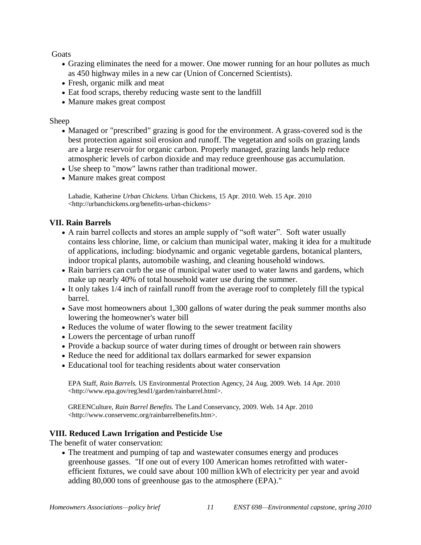Goats

- Grazing eliminates the need for a mower. One mower running for an hour pollutes as much as 450 highway miles in a new car (Union of Concerned Scientists).
- Fresh, organic milk and meat
- Eat food scraps, thereby reducing waste sent to the landfill
- Manure makes great compost

### Sheep

- Managed or "prescribed" grazing is good for the environment. A grass-covered sod is the best protection against soil erosion and runoff. The vegetation and soils on grazing lands are a large reservoir for organic carbon. Properly managed, grazing lands help reduce atmospheric levels of carbon dioxide and may reduce greenhouse gas accumulation.
- Use sheep to "mow" lawns rather than traditional mower.
- Manure makes great compost

Labadie, Katherine *Urban Chickens.* Urban Chickens, 15 Apr. 2010. Web. 15 Apr. 2010 <http://urbanchickens.org/benefits-urban-chickens>

# **VII. Rain Barrels**

- A rain barrel collects and stores an ample supply of "soft water". Soft water usually contains less chlorine, lime, or calcium than municipal water, making it idea for a multitude of applications, including: biodynamic and organic vegetable gardens, botanical planters, indoor tropical plants, automobile washing, and cleaning household windows.
- Rain barriers can curb the use of municipal water used to water lawns and gardens, which make up nearly 40% of total household water use during the summer.
- It only takes 1/4 inch of rainfall runoff from the average roof to completely fill the typical barrel.
- Save most homeowners about 1,300 gallons of water during the peak summer months also lowering the homeowner's water bill
- Reduces the volume of water flowing to the sewer treatment facility
- Lowers the percentage of urban runoff
- Provide a backup source of water during times of drought or between rain showers
- Reduce the need for additional tax dollars earmarked for sewer expansion
- Educational tool for teaching residents about water conservation

EPA Staff, *Rain Barrels.* US Environmental Protection Agency, 24 Aug. 2009. Web. 14 Apr. 2010 <http://www.epa.gov/reg3esd1/garden/rainbarrel.html>.

GREENCulture, *Rain Barrel Benefits.* The Land Conservancy, 2009. Web. 14 Apr. 2010 <http://www.conservemc.org/rainbarrelbenefits.htm>.

# **VIII. Reduced Lawn Irrigation and Pesticide Use**

The benefit of water conservation:

 The treatment and pumping of tap and wastewater consumes energy and produces greenhouse gasses. "If one out of every 100 American homes retrofitted with waterefficient fixtures, we could save about 100 million kWh of electricity per year and avoid adding 80,000 tons of greenhouse gas to the atmosphere (EPA)."